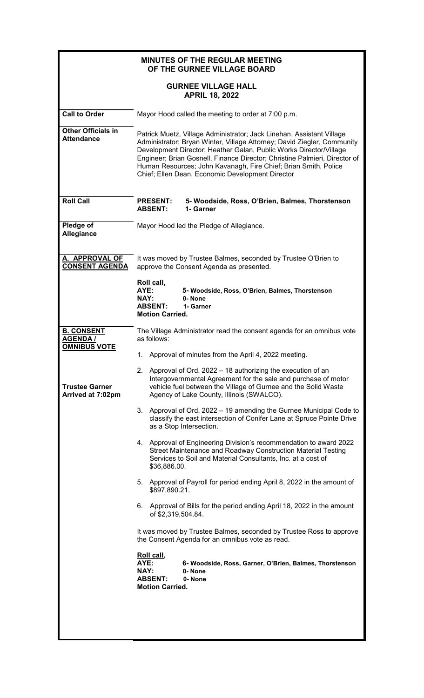|                                                             | <b>MINUTES OF THE REGULAR MEETING</b><br>OF THE GURNEE VILLAGE BOARD                                                                                                                                                                                                                                                                                                                                                        |  |  |  |  |  |
|-------------------------------------------------------------|-----------------------------------------------------------------------------------------------------------------------------------------------------------------------------------------------------------------------------------------------------------------------------------------------------------------------------------------------------------------------------------------------------------------------------|--|--|--|--|--|
|                                                             | <b>GURNEE VILLAGE HALL</b><br><b>APRIL 18, 2022</b>                                                                                                                                                                                                                                                                                                                                                                         |  |  |  |  |  |
| <b>Call to Order</b>                                        | Mayor Hood called the meeting to order at 7:00 p.m.                                                                                                                                                                                                                                                                                                                                                                         |  |  |  |  |  |
| <b>Other Officials in</b><br><b>Attendance</b>              | Patrick Muetz, Village Administrator; Jack Linehan, Assistant Village<br>Administrator; Bryan Winter, Village Attorney; David Ziegler, Community<br>Development Director; Heather Galan, Public Works Director/Village<br>Engineer; Brian Gosnell, Finance Director; Christine Palmieri, Director of<br>Human Resources; John Kavanagh, Fire Chief; Brian Smith, Police<br>Chief; Ellen Dean, Economic Development Director |  |  |  |  |  |
| <b>Roll Call</b>                                            | <b>PRESENT:</b><br>5- Woodside, Ross, O'Brien, Balmes, Thorstenson<br>1- Garner<br><b>ABSENT:</b>                                                                                                                                                                                                                                                                                                                           |  |  |  |  |  |
| Pledge of<br>Allegiance                                     | Mayor Hood led the Pledge of Allegiance.                                                                                                                                                                                                                                                                                                                                                                                    |  |  |  |  |  |
| A. APPROVAL OF<br><b>CONSENT AGENDA</b>                     | It was moved by Trustee Balmes, seconded by Trustee O'Brien to<br>approve the Consent Agenda as presented.                                                                                                                                                                                                                                                                                                                  |  |  |  |  |  |
|                                                             | Roll call,<br>AYE:<br>5- Woodside, Ross, O'Brien, Balmes, Thorstenson<br><b>NAY:</b><br>0-None<br><b>ABSENT:</b><br>1- Garner<br><b>Motion Carried.</b>                                                                                                                                                                                                                                                                     |  |  |  |  |  |
| <b>B. CONSENT</b><br><b>AGENDA /</b><br><b>OMNIBUS VOTE</b> | The Village Administrator read the consent agenda for an omnibus vote<br>as follows:                                                                                                                                                                                                                                                                                                                                        |  |  |  |  |  |
|                                                             | 1. Approval of minutes from the April 4, 2022 meeting.                                                                                                                                                                                                                                                                                                                                                                      |  |  |  |  |  |
| <b>Trustee Garner</b><br>Arrived at 7:02pm                  | 2. Approval of Ord. 2022 – 18 authorizing the execution of an<br>Intergovernmental Agreement for the sale and purchase of motor<br>vehicle fuel between the Village of Gurnee and the Solid Waste<br>Agency of Lake County, Illinois (SWALCO).                                                                                                                                                                              |  |  |  |  |  |
|                                                             | Approval of Ord. 2022 – 19 amending the Gurnee Municipal Code to<br>3.<br>classify the east intersection of Conifer Lane at Spruce Pointe Drive<br>as a Stop Intersection.                                                                                                                                                                                                                                                  |  |  |  |  |  |
|                                                             | 4. Approval of Engineering Division's recommendation to award 2022<br>Street Maintenance and Roadway Construction Material Testing<br>Services to Soil and Material Consultants, Inc. at a cost of<br>\$36,886.00.                                                                                                                                                                                                          |  |  |  |  |  |
|                                                             | 5.<br>Approval of Payroll for period ending April 8, 2022 in the amount of<br>\$897,890.21.                                                                                                                                                                                                                                                                                                                                 |  |  |  |  |  |
|                                                             | Approval of Bills for the period ending April 18, 2022 in the amount<br>6.<br>of \$2,319,504.84.                                                                                                                                                                                                                                                                                                                            |  |  |  |  |  |
|                                                             | It was moved by Trustee Balmes, seconded by Trustee Ross to approve<br>the Consent Agenda for an omnibus vote as read.                                                                                                                                                                                                                                                                                                      |  |  |  |  |  |
|                                                             | Roll call,<br>AYE:<br>6- Woodside, Ross, Garner, O'Brien, Balmes, Thorstenson<br>NAY:<br>0-None<br><b>ABSENT:</b><br>0-None<br><b>Motion Carried.</b>                                                                                                                                                                                                                                                                       |  |  |  |  |  |
|                                                             |                                                                                                                                                                                                                                                                                                                                                                                                                             |  |  |  |  |  |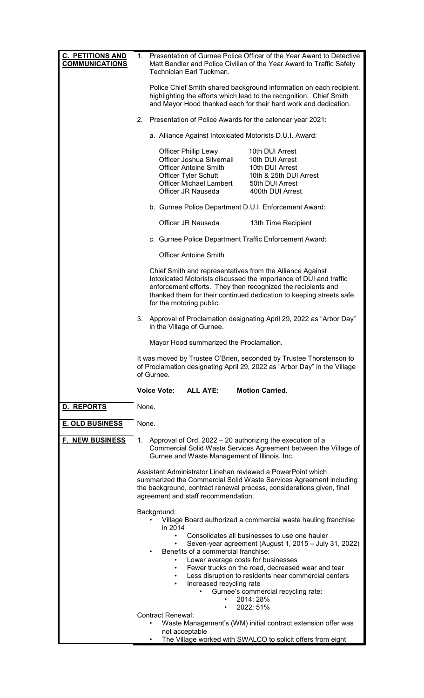| <b>C. PETITIONS AND</b><br><b>COMMUNICATIONS</b> |                                                                                                                                                                                                                                                                                                                                                                                                                                                                             | 1. Presentation of Gurnee Police Officer of the Year Award to Detective<br>Matt Bendler and Police Civilian of the Year Award to Traffic Safety<br>Technician Earl Tuckman.                                                                                                                       |                                                                                                                                                                                 |  |                                                                                                                        |  |
|--------------------------------------------------|-----------------------------------------------------------------------------------------------------------------------------------------------------------------------------------------------------------------------------------------------------------------------------------------------------------------------------------------------------------------------------------------------------------------------------------------------------------------------------|---------------------------------------------------------------------------------------------------------------------------------------------------------------------------------------------------------------------------------------------------------------------------------------------------|---------------------------------------------------------------------------------------------------------------------------------------------------------------------------------|--|------------------------------------------------------------------------------------------------------------------------|--|
|                                                  |                                                                                                                                                                                                                                                                                                                                                                                                                                                                             | Police Chief Smith shared background information on each recipient,<br>highlighting the efforts which lead to the recognition. Chief Smith<br>and Mayor Hood thanked each for their hard work and dedication.                                                                                     |                                                                                                                                                                                 |  |                                                                                                                        |  |
|                                                  | 2.                                                                                                                                                                                                                                                                                                                                                                                                                                                                          | Presentation of Police Awards for the calendar year 2021:                                                                                                                                                                                                                                         |                                                                                                                                                                                 |  |                                                                                                                        |  |
|                                                  |                                                                                                                                                                                                                                                                                                                                                                                                                                                                             |                                                                                                                                                                                                                                                                                                   |                                                                                                                                                                                 |  | a. Alliance Against Intoxicated Motorists D.U.I. Award:                                                                |  |
|                                                  |                                                                                                                                                                                                                                                                                                                                                                                                                                                                             |                                                                                                                                                                                                                                                                                                   | <b>Officer Phillip Lewy</b><br>Officer Joshua Silvernail<br><b>Officer Antoine Smith</b><br><b>Officer Tyler Schutt</b><br><b>Officer Michael Lambert</b><br>Officer JR Nauseda |  | 10th DUI Arrest<br>10th DUI Arrest<br>10th DUI Arrest<br>10th & 25th DUI Arrest<br>50th DUI Arrest<br>400th DUI Arrest |  |
|                                                  |                                                                                                                                                                                                                                                                                                                                                                                                                                                                             |                                                                                                                                                                                                                                                                                                   |                                                                                                                                                                                 |  | b. Gurnee Police Department D.U.I. Enforcement Award:                                                                  |  |
|                                                  |                                                                                                                                                                                                                                                                                                                                                                                                                                                                             |                                                                                                                                                                                                                                                                                                   | Officer JR Nauseda                                                                                                                                                              |  | 13th Time Recipient                                                                                                    |  |
|                                                  |                                                                                                                                                                                                                                                                                                                                                                                                                                                                             | c. Gurnee Police Department Traffic Enforcement Award:                                                                                                                                                                                                                                            |                                                                                                                                                                                 |  |                                                                                                                        |  |
|                                                  |                                                                                                                                                                                                                                                                                                                                                                                                                                                                             | <b>Officer Antoine Smith</b>                                                                                                                                                                                                                                                                      |                                                                                                                                                                                 |  |                                                                                                                        |  |
|                                                  |                                                                                                                                                                                                                                                                                                                                                                                                                                                                             | Chief Smith and representatives from the Alliance Against<br>Intoxicated Motorists discussed the importance of DUI and traffic<br>enforcement efforts. They then recognized the recipients and<br>thanked them for their continued dedication to keeping streets safe<br>for the motoring public. |                                                                                                                                                                                 |  |                                                                                                                        |  |
|                                                  | 3.                                                                                                                                                                                                                                                                                                                                                                                                                                                                          | Approval of Proclamation designating April 29, 2022 as "Arbor Day"<br>in the Village of Gurnee.                                                                                                                                                                                                   |                                                                                                                                                                                 |  |                                                                                                                        |  |
|                                                  |                                                                                                                                                                                                                                                                                                                                                                                                                                                                             | Mayor Hood summarized the Proclamation.                                                                                                                                                                                                                                                           |                                                                                                                                                                                 |  |                                                                                                                        |  |
|                                                  | It was moved by Trustee O'Brien, seconded by Trustee Thorstenson to<br>of Proclamation designating April 29, 2022 as "Arbor Day" in the Village<br>of Gurnee.                                                                                                                                                                                                                                                                                                               |                                                                                                                                                                                                                                                                                                   |                                                                                                                                                                                 |  |                                                                                                                        |  |
|                                                  |                                                                                                                                                                                                                                                                                                                                                                                                                                                                             | <b>Voice Vote:</b>                                                                                                                                                                                                                                                                                | <b>ALL AYE:</b>                                                                                                                                                                 |  | <b>Motion Carried.</b>                                                                                                 |  |
| D. REPORTS                                       | None.                                                                                                                                                                                                                                                                                                                                                                                                                                                                       |                                                                                                                                                                                                                                                                                                   |                                                                                                                                                                                 |  |                                                                                                                        |  |
| <b>E. OLD BUSINESS</b>                           | None.                                                                                                                                                                                                                                                                                                                                                                                                                                                                       |                                                                                                                                                                                                                                                                                                   |                                                                                                                                                                                 |  |                                                                                                                        |  |
| <b>F. NEW BUSINESS</b>                           | Approval of Ord. 2022 – 20 authorizing the execution of a<br>1.<br>Commercial Solid Waste Services Agreement between the Village of<br>Gurnee and Waste Management of Illinois, Inc.                                                                                                                                                                                                                                                                                        |                                                                                                                                                                                                                                                                                                   |                                                                                                                                                                                 |  |                                                                                                                        |  |
|                                                  | Assistant Administrator Linehan reviewed a PowerPoint which<br>summarized the Commercial Solid Waste Services Agreement including<br>the background, contract renewal process, considerations given, final<br>agreement and staff recommendation.                                                                                                                                                                                                                           |                                                                                                                                                                                                                                                                                                   |                                                                                                                                                                                 |  |                                                                                                                        |  |
|                                                  | Background:<br>Village Board authorized a commercial waste hauling franchise<br>in 2014<br>Consolidates all businesses to use one hauler<br>Seven-year agreement (August 1, 2015 - July 31, 2022)<br>Benefits of a commercial franchise:<br>Lower average costs for businesses<br>Fewer trucks on the road, decreased wear and tear<br>Less disruption to residents near commercial centers<br>Increased recycling rate<br>$\bullet$<br>Gurnee's commercial recycling rate: |                                                                                                                                                                                                                                                                                                   |                                                                                                                                                                                 |  |                                                                                                                        |  |
|                                                  | 2014: 28%<br>2022: 51%                                                                                                                                                                                                                                                                                                                                                                                                                                                      |                                                                                                                                                                                                                                                                                                   |                                                                                                                                                                                 |  |                                                                                                                        |  |
|                                                  | <b>Contract Renewal:</b><br>Waste Management's (WM) initial contract extension offer was                                                                                                                                                                                                                                                                                                                                                                                    |                                                                                                                                                                                                                                                                                                   |                                                                                                                                                                                 |  |                                                                                                                        |  |
|                                                  | not acceptable<br>The Village worked with SWALCO to solicit offers from eight                                                                                                                                                                                                                                                                                                                                                                                               |                                                                                                                                                                                                                                                                                                   |                                                                                                                                                                                 |  |                                                                                                                        |  |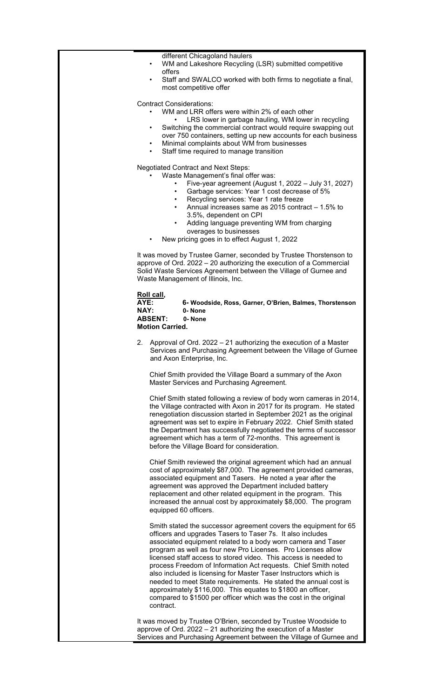different Chicagoland haulers

- WM and Lakeshore Recycling (LSR) submitted competitive offers
- Staff and SWALCO worked with both firms to negotiate a final, most competitive offer

Contract Considerations:

WM and LRR offers were within 2% of each other

- LRS lower in garbage hauling, WM lower in recycling Switching the commercial contract would require swapping out
- over 750 containers, setting up new accounts for each business
- Minimal complaints about WM from businesses Staff time required to manage transition
- 
- Negotiated Contract and Next Steps: Waste Management's final offer was:
	- Five-year agreement (August 1, 2022 July 31, 2027)
	- Garbage services: Year 1 cost decrease of 5%
	- Recycling services: Year 1 rate freeze
	- Annual increases same as 2015 contract 1.5% to 3.5%, dependent on CPI
	- Adding language preventing WM from charging overages to businesses
	- New pricing goes in to effect August 1, 2022

It was moved by Trustee Garner, seconded by Trustee Thorstenson to approve of Ord. 2022 – 20 authorizing the execution of a Commercial Solid Waste Services Agreement between the Village of Gurnee and Waste Management of Illinois, Inc.

## **Roll call,**

| AYE:                   | 6- Woodside, Ross, Garner, O'Brien, Balmes, Thorstenson |
|------------------------|---------------------------------------------------------|
| NAY:                   | 0-None                                                  |
| <b>ABSENT:</b>         | 0-None                                                  |
| <b>Motion Carried.</b> |                                                         |
|                        |                                                         |

2. Approval of Ord. 2022 – 21 authorizing the execution of a Master Services and Purchasing Agreement between the Village of Gurnee and Axon Enterprise, Inc.

Chief Smith provided the Village Board a summary of the Axon Master Services and Purchasing Agreement.

Chief Smith stated following a review of body worn cameras in 2014, the Village contracted with Axon in 2017 for its program. He stated renegotiation discussion started in September 2021 as the original agreement was set to expire in February 2022. Chief Smith stated the Department has successfully negotiated the terms of successor agreement which has a term of 72-months. This agreement is before the Village Board for consideration.

Chief Smith reviewed the original agreement which had an annual cost of approximately \$87,000. The agreement provided cameras, associated equipment and Tasers. He noted a year after the agreement was approved the Department included battery replacement and other related equipment in the program. This increased the annual cost by approximately \$8,000. The program equipped 60 officers.

Smith stated the successor agreement covers the equipment for 65 officers and upgrades Tasers to Taser 7s. It also includes associated equipment related to a body worn camera and Taser program as well as four new Pro Licenses. Pro Licenses allow licensed staff access to stored video. This access is needed to process Freedom of Information Act requests. Chief Smith noted also included is licensing for Master Taser Instructors which is needed to meet State requirements. He stated the annual cost is approximately \$116,000. This equates to \$1800 an officer, compared to \$1500 per officer which was the cost in the original contract.

It was moved by Trustee O'Brien, seconded by Trustee Woodside to approve of Ord. 2022 – 21 authorizing the execution of a Master Services and Purchasing Agreement between the Village of Gurnee and